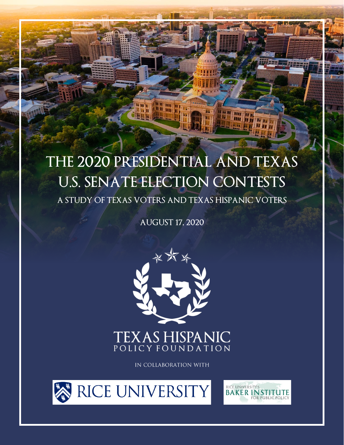# **THE 2020 PRESIDENTIAL AND TEXAS U.S. SENATE ELECTION CONTESTS**

**THE PA** 

**HER HI** 

**ALLEL** 

**A STUDY OF TEXAS VOTERS AND TEXAS HISPANIC VOTERS**

**AUGUST 17, 2020**



### **TEXAS HISPANIC** POLICY FOUNDATION

IN COLLABORATION WITH





**The Contract**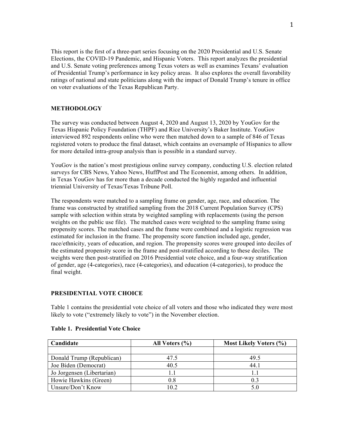This report is the first of a three-part series focusing on the 2020 Presidential and U.S. Senate Elections, the COVID-19 Pandemic, and Hispanic Voters. This report analyzes the presidential and U.S. Senate voting preferences among Texas voters as well as examines Texans' evaluation of Presidential Trump's performance in key policy areas. It also explores the overall favorability ratings of national and state politicians along with the impact of Donald Trump's tenure in office on voter evaluations of the Texas Republican Party.

#### **METHODOLOGY**

The survey was conducted between August 4, 2020 and August 13, 2020 by YouGov for the Texas Hispanic Policy Foundation (THPF) and Rice University's Baker Institute. YouGov interviewed 892 respondents online who were then matched down to a sample of 846 of Texas registered voters to produce the final dataset, which contains an oversample of Hispanics to allow for more detailed intra-group analysis than is possible in a standard survey.

YouGov is the nation's most prestigious online survey company, conducting U.S. election related surveys for CBS News, Yahoo News, HuffPost and The Economist, among others. In addition, in Texas YouGov has for more than a decade conducted the highly regarded and influential triennial University of Texas/Texas Tribune Poll.

The respondents were matched to a sampling frame on gender, age, race, and education. The frame was constructed by stratified sampling from the 2018 Current Population Survey (CPS) sample with selection within strata by weighted sampling with replacements (using the person weights on the public use file). The matched cases were weighted to the sampling frame using propensity scores. The matched cases and the frame were combined and a logistic regression was estimated for inclusion in the frame. The propensity score function included age, gender, race/ethnicity, years of education, and region. The propensity scores were grouped into deciles of the estimated propensity score in the frame and post-stratified according to these deciles. The weights were then post-stratified on 2016 Presidential vote choice, and a four-way stratification of gender, age (4-categories), race (4-categories), and education (4-categories), to produce the final weight.

#### **PRESIDENTIAL VOTE CHOICE**

Table 1 contains the presidential vote choice of all voters and those who indicated they were most likely to vote ("extremely likely to vote") in the November election.

| Candidate                  | All Voters $(\% )$ | <b>Most Likely Voters (%)</b> |
|----------------------------|--------------------|-------------------------------|
|                            |                    |                               |
| Donald Trump (Republican)  | 47.5               | 49.5                          |
| Joe Biden (Democrat)       | 40.5               | 44.1                          |
| Jo Jorgensen (Libertarian) |                    | 11                            |
| Howie Hawkins (Green)      | 0.8                | 0.3                           |
| Unsure/Don't Know          | 10 2               | 5.0                           |

#### **Table 1. Presidential Vote Choice**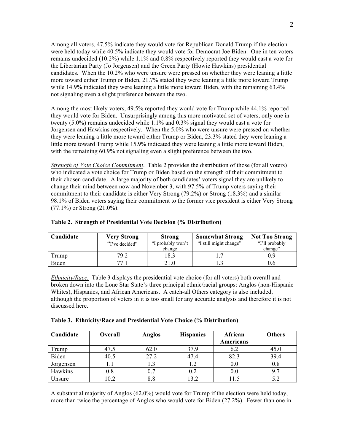Among all voters, 47.5% indicate they would vote for Republican Donald Trump if the election were held today while 40.5% indicate they would vote for Democrat Joe Biden. One in ten voters remains undecided (10.2%) while 1.1% and 0.8% respectively reported they would cast a vote for the Libertarian Party (Jo Jorgensen) and the Green Party (Howie Hawkins) presidential candidates. When the 10.2% who were unsure were pressed on whether they were leaning a little more toward either Trump or Biden, 21.7% stated they were leaning a little more toward Trump while 14.9% indicated they were leaning a little more toward Biden, with the remaining 63.4% not signaling even a slight preference between the two.

Among the most likely voters, 49.5% reported they would vote for Trump while 44.1% reported they would vote for Biden. Unsurprisingly among this more motivated set of voters, only one in twenty (5.0%) remains undecided while 1.1% and 0.3% signal they would cast a vote for Jorgensen and Hawkins respectively. When the 5.0% who were unsure were pressed on whether they were leaning a little more toward either Trump or Biden, 23.3% stated they were leaning a little more toward Trump while 15.9% indicated they were leaning a little more toward Biden, with the remaining 60.9% not signaling even a slight preference between the two.

*Strength of Vote Choice Commitment*. Table 2 provides the distribution of those (for all voters) who indicated a vote choice for Trump or Biden based on the strength of their commitment to their chosen candidate. A large majority of both candidates' voters signal they are unlikely to change their mind between now and November 3, with 97.5% of Trump voters saying their commitment to their candidate is either Very Strong (79.2%) or Strong (18.3%) and a similar 98.1% of Biden voters saying their commitment to the former vice president is either Very Strong (77.1%) or Strong (21.0%).

| Candidate | <b>Very Strong</b> | <b>Strong</b>     | <b>Somewhat Strong</b> | <b>Not Too Strong</b> |
|-----------|--------------------|-------------------|------------------------|-----------------------|
|           | "I've decided"     | "I probably won't | "I still might change" | "I'll probably"       |
|           |                    | change            |                        | change"               |
| Trump     | 79.2               | 8.3               |                        | .) 9                  |
| Biden     | 77 1               | 21.0              |                        | 0.6                   |

#### **Table 2. Strength of Presidential Vote Decision (% Distribution)**

*Ethnicity/Race.* Table 3 displays the presidential vote choice (for all voters) both overall and broken down into the Lone Star State's three principal ethnic/racial groups: Anglos (non-Hispanic Whites), Hispanics, and African Americans. A catch-all Others category is also included, although the proportion of voters in it is too small for any accurate analysis and therefore it is not discussed here.

| Table 3. Ethnicity/Race and Presidential Vote Choice (% Distribution) |  |  |
|-----------------------------------------------------------------------|--|--|
|                                                                       |  |  |

| Candidate | <b>Overall</b> | Anglos | <b>Hispanics</b> | African   | <b>Others</b> |
|-----------|----------------|--------|------------------|-----------|---------------|
|           |                |        |                  | Americans |               |
| Trump     | 47.5           | 62.0   | 37.9             | 6.2       | 45.0          |
| Biden     | 40.5           | 27.2   | 47.4             | 82.3      | 39.4          |
| Jorgensen |                |        | 1.2              | 0.0       | 0.8           |
| Hawkins   | $0.8\,$        | 0.7    | 0.2              | 0.0       | 9.7           |
| Unsure    | 10.2           | 8.8    | 13.2             | 11.5      |               |

A substantial majority of Anglos (62.0%) would vote for Trump if the election were held today, more than twice the percentage of Anglos who would vote for Biden (27.2%). Fewer than one in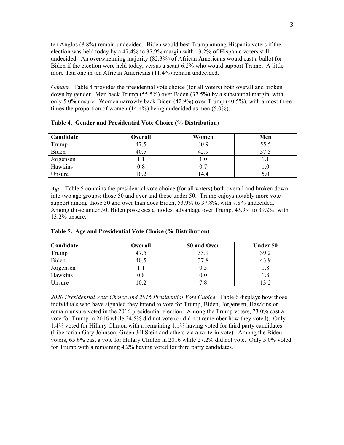ten Anglos (8.8%) remain undecided. Biden would best Trump among Hispanic voters if the election was held today by a 47.4% to 37.9% margin with 13.2% of Hispanic voters still undecided. An overwhelming majority (82.3%) of African Americans would cast a ballot for Biden if the election were held today, versus a scant 6.2% who would support Trump. A little more than one in ten African Americans (11.4%) remain undecided.

*Gender.* Table 4 provides the presidential vote choice (for all voters) both overall and broken down by gender. Men back Trump (55.5%) over Biden (37.5%) by a substantial margin, with only 5.0% unsure. Women narrowly back Biden (42.9%) over Trump (40.5%), with almost three times the proportion of women (14.4%) being undecided as men (5.0%).

| Candidate | Overall | Women | Men  |
|-----------|---------|-------|------|
| Trump     | 47.5    | 40.9  | 55.5 |
| Biden     | 40.5    | 42.9  | 37   |
| Jorgensen |         | I.U   |      |
| Hawkins   | 0.8     |       |      |
| Unsure    | 10.2    | 14.4  |      |

**Table 4. Gender and Presidential Vote Choice (% Distribution)**

*Age.* Table 5 contains the presidential vote choice (for all voters) both overall and broken down into two age groups: those 50 and over and those under 50. Trump enjoys notably more vote support among those 50 and over than does Biden, 53.9% to 37.8%, with 7.8% undecided. Among those under 50, Biden possesses a modest advantage over Trump, 43.9% to 39.2%, with 13.2% unsure.

| Candidate | Overall      | 50 and Over | Under 50 |
|-----------|--------------|-------------|----------|
| Trump     | 47.5         | 53.9        | 39.2     |
| Biden     | 40.5         | 37.8        |          |
| Jorgensen |              | 0.5         |          |
| Hawkins   | $_{\rm 0.8}$ | 0.0         |          |
| Unsure    | 10.2         |             |          |

#### **Table 5. Age and Presidential Vote Choice (% Distribution)**

*2020 Presidential Vote Choice and 2016 Presidential Vote Choice*. Table 6 displays how those individuals who have signaled they intend to vote for Trump, Biden, Jorgensen, Hawkins or remain unsure voted in the 2016 presidential election. Among the Trump voters, 73.0% cast a vote for Trump in 2016 while 24.5% did not vote (or did not remember how they voted). Only 1.4% voted for Hillary Clinton with a remaining 1.1% having voted for third party candidates (Libertarian Gary Johnson, Green Jill Stein and others via a write-in vote). Among the Biden voters, 65.6% cast a vote for Hillary Clinton in 2016 while 27.2% did not vote. Only 3.0% voted for Trump with a remaining 4.2% having voted for third party candidates.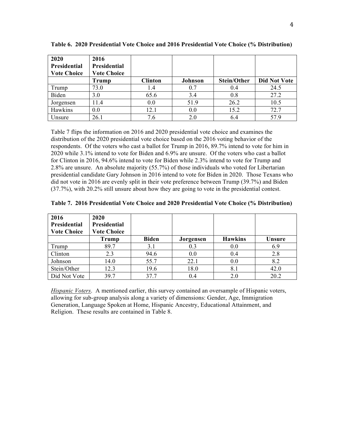| 2020<br>Presidential<br><b>Vote Choice</b> | 2016<br>Presidential<br><b>Vote Choice</b> |                |         |             |                     |
|--------------------------------------------|--------------------------------------------|----------------|---------|-------------|---------------------|
|                                            | Trump                                      | <b>Clinton</b> | Johnson | Stein/Other | <b>Did Not Vote</b> |
| Trump                                      | 73.0                                       | 1.4            | 0.7     | 0.4         | 24.5                |
| Biden                                      | 3.0                                        | 65.6           | 3.4     | 0.8         | 27.2                |
| Jorgensen                                  | 11.4                                       | 0.0            | 51.9    | 26.2        | 10.5                |
| Hawkins                                    | 0.0                                        | 12.1           | 0.0     | 15.2        | 72.7                |
| Unsure                                     | 26.1                                       | 7.6            | 2.0     | 6.4         | 57.9                |

**Table 6. 2020 Presidential Vote Choice and 2016 Presidential Vote Choice (% Distribution)**

Table 7 flips the information on 2016 and 2020 presidential vote choice and examines the distribution of the 2020 presidential vote choice based on the 2016 voting behavior of the respondents. Of the voters who cast a ballot for Trump in 2016, 89.7% intend to vote for him in 2020 while 3.1% intend to vote for Biden and 6.9% are unsure. Of the voters who cast a ballot for Clinton in 2016, 94.6% intend to vote for Biden while 2.3% intend to vote for Trump and 2.8% are unsure. An absolute majority (55.7%) of those individuals who voted for Libertarian presidential candidate Gary Johnson in 2016 intend to vote for Biden in 2020. Those Texans who did not vote in 2016 are evenly split in their vote preference between Trump (39.7%) and Biden (37.7%), with 20.2% still unsure about how they are going to vote in the presidential contest.

| 2016<br>Presidential<br><b>Vote Choice</b> | 2020<br><b>Presidential</b><br><b>Vote Choice</b> |              |           |                |        |
|--------------------------------------------|---------------------------------------------------|--------------|-----------|----------------|--------|
|                                            | Trump                                             | <b>Biden</b> | Jorgensen | <b>Hawkins</b> | Unsure |
| Trump                                      | 89.7                                              | 3.1          | 0.3       | 0.0            | 6.9    |
| Clinton                                    | 2.3                                               | 94.6         | 0.0       | 0.4            | 2.8    |
| Johnson                                    | 14.0                                              | 55.7         | 22.1      | 0.0            | 8.2    |
| Stein/Other                                | 12.3                                              | 19.6         | 18.0      | 8.1            | 42.0   |
| Did Not Vote                               | 39.7                                              | 37.7         | 0.4       | 2.0            | 20.2   |

*Hispanic Voters*. A mentioned earlier, this survey contained an oversample of Hispanic voters, allowing for sub-group analysis along a variety of dimensions: Gender, Age, Immigration Generation, Language Spoken at Home, Hispanic Ancestry, Educational Attainment, and Religion. These results are contained in Table 8.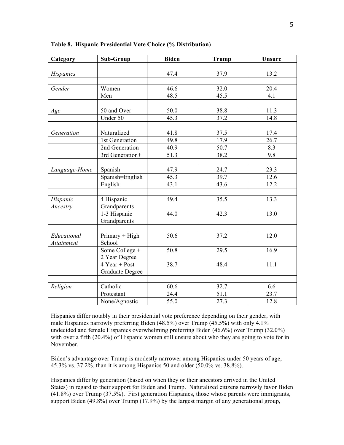| Category         | <b>Sub-Group</b>                          | <b>Biden</b>       | <b>Trump</b>      | Unsure            |
|------------------|-------------------------------------------|--------------------|-------------------|-------------------|
|                  |                                           |                    |                   |                   |
| <b>Hispanics</b> |                                           | 47.4               | $\overline{37.9}$ | 13.2              |
|                  |                                           |                    |                   |                   |
| Gender           | Women                                     | 46.6               | 32.0              | 20.4              |
|                  | Men                                       | 48.5               | 45.5              | 4.1               |
|                  |                                           |                    |                   |                   |
| Age              | 50 and Over                               | 50.0               | 38.8              | 11.3              |
|                  | Under 50                                  | 45.3               | 37.2              | 14.8              |
| Generation       | Naturalized                               | 41.8               | 37.5              | 17.4              |
|                  | 1st Generation                            | 49.8               | 17.9              | 26.7              |
|                  | 2nd Generation                            | 40.9               | 50.7              | 8.3               |
|                  | 3rd Generation+                           | $\overline{51.3}$  | 38.2              | 9.8               |
|                  |                                           |                    |                   |                   |
| Language-Home    | Spanish                                   | 47.9               | 24.7              | 23.3              |
|                  | Spanish=English                           | 45.3               | 39.7              | 12.6              |
|                  | English                                   | 43.1               | 43.6              | 12.2              |
| Hispanic         | 4 Hispanic                                | 49.4               | 35.5              | 13.3              |
| Ancestry         | Grandparents                              |                    |                   |                   |
|                  | 1-3 Hispanic                              | 44.0               | 42.3              | 13.0              |
|                  | Grandparents                              |                    |                   |                   |
| Educational      |                                           | 50.6               | 37.2              | 12.0              |
| Attainment       | Primary + High<br>School                  |                    |                   |                   |
|                  | Some College +                            | 50.8               | 29.5              | 16.9              |
|                  | 2 Year Degree                             |                    |                   |                   |
|                  | $\overline{4 \text{ Year}} + \text{Post}$ | 38.7               | 48.4              | 11.1              |
|                  | <b>Graduate Degree</b>                    |                    |                   |                   |
|                  |                                           |                    |                   |                   |
| Religion         | Catholic                                  | 60.6               | 32.7              | 6.6               |
|                  | Protestant                                | $\overline{2}$ 4.4 | $\overline{51.1}$ | $\overline{23.7}$ |
|                  | None/Agnostic                             | $\overline{55.0}$  | 27.3              | 12.8              |

**Table 8. Hispanic Presidential Vote Choice (% Distribution)**

Hispanics differ notably in their presidential vote preference depending on their gender, with male Hispanics narrowly preferring Biden (48.5%) over Trump (45.5%) with only 4.1% undecided and female Hispanics overwhelming preferring Biden (46.6%) over Trump (32.0%) with over a fifth (20.4%) of Hispanic women still unsure about who they are going to vote for in November.

Biden's advantage over Trump is modestly narrower among Hispanics under 50 years of age, 45.3% vs. 37.2%, than it is among Hispanics 50 and older (50.0% vs. 38.8%).

Hispanics differ by generation (based on when they or their ancestors arrived in the United States) in regard to their support for Biden and Trump. Naturalized citizens narrowly favor Biden (41.8%) over Trump (37.5%). First generation Hispanics, those whose parents were immigrants, support Biden (49.8%) over Trump (17.9%) by the largest margin of any generational group,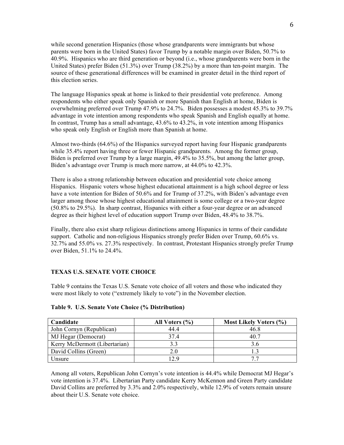while second generation Hispanics (those whose grandparents were immigrants but whose parents were born in the United States) favor Trump by a notable margin over Biden, 50.7% to 40.9%. Hispanics who are third generation or beyond (i.e., whose grandparents were born in the United States) prefer Biden (51.3%) over Trump (38.2%) by a more than ten-point margin. The source of these generational differences will be examined in greater detail in the third report of this election series.

The language Hispanics speak at home is linked to their presidential vote preference. Among respondents who either speak only Spanish or more Spanish than English at home, Biden is overwhelming preferred over Trump 47.9% to 24.7%. Biden possesses a modest 45.3% to 39.7% advantage in vote intention among respondents who speak Spanish and English equally at home. In contrast, Trump has a small advantage, 43.6% to 43.2%, in vote intention among Hispanics who speak only English or English more than Spanish at home.

Almost two-thirds (64.6%) of the Hispanics surveyed report having four Hispanic grandparents while 35.4% report having three or fewer Hispanic grandparents. Among the former group, Biden is preferred over Trump by a large margin, 49.4% to 35.5%, but among the latter group, Biden's advantage over Trump is much more narrow, at 44.0% to 42.3%.

There is also a strong relationship between education and presidential vote choice among Hispanics. Hispanic voters whose highest educational attainment is a high school degree or less have a vote intention for Biden of 50.6% and for Trump of 37.2%, with Biden's advantage even larger among those whose highest educational attainment is some college or a two-year degree (50.8% to 29.5%). In sharp contrast, Hispanics with either a four-year degree or an advanced degree as their highest level of education support Trump over Biden, 48.4% to 38.7%.

Finally, there also exist sharp religious distinctions among Hispanics in terms of their candidate support. Catholic and non-religious Hispanics strongly prefer Biden over Trump, 60.6% vs. 32.7% and 55.0% vs. 27.3% respectively. In contrast, Protestant Hispanics strongly prefer Trump over Biden, 51.1% to 24.4%.

#### **TEXAS U.S. SENATE VOTE CHOICE**

Table 9 contains the Texas U.S. Senate vote choice of all voters and those who indicated they were most likely to vote ("extremely likely to vote") in the November election.

| Candidate                     | All Voters $(\% )$ | Most Likely Voters (%) |
|-------------------------------|--------------------|------------------------|
| John Cornyn (Republican)      | 44 4               | 46.8                   |
| MJ Hegar (Democrat)           | 37.4               | 40.7                   |
| Kerry McDermott (Libertarian) |                    | 3.6                    |
| David Collins (Green)         | 2.0                |                        |
| Unsure                        | 29                 | 77                     |

#### **Table 9. U.S. Senate Vote Choice (% Distribution)**

Among all voters, Republican John Cornyn's vote intention is 44.4% while Democrat MJ Hegar's vote intention is 37.4%. Libertarian Party candidate Kerry McKennon and Green Party candidate David Collins are preferred by 3.3% and 2.0% respectively, while 12.9% of voters remain unsure about their U.S. Senate vote choice.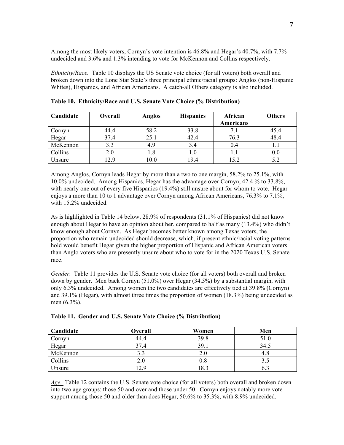Among the most likely voters, Cornyn's vote intention is 46.8% and Hegar's 40.7%, with 7.7% undecided and 3.6% and 1.3% intending to vote for McKennon and Collins respectively.

*Ethnicity/Race.* Table 10 displays the US Senate vote choice (for all voters) both overall and broken down into the Lone Star State's three principal ethnic/racial groups: Anglos (non-Hispanic Whites), Hispanics, and African Americans. A catch-all Others category is also included.

| Candidate | Overall | Anglos | <b>Hispanics</b> | African   | <b>Others</b> |
|-----------|---------|--------|------------------|-----------|---------------|
|           |         |        |                  | Americans |               |
| Cornyn    | 44.4    | 58.2   | 33.8             |           | 45.4          |
| Hegar     | 37.4    | 25.1   | 42.4             | 76.3      | 48.4          |
| McKennon  | 3.3     | 4.9    | 3.4              | 0.4       |               |
| Collins   | 2.0     | 1.8    | 1.0              |           | 0.0           |
| Unsure    | 2.9     | 10.0   | 19.4             | 15.2      | 5.2           |

**Table 10. Ethnicity/Race and U.S. Senate Vote Choice (% Distribution)**

Among Anglos, Cornyn leads Hegar by more than a two to one margin, 58.2% to 25.1%, with 10.0% undecided. Among Hispanics, Hegar has the advantage over Cornyn, 42.4 % to 33.8%, with nearly one out of every five Hispanics (19.4%) still unsure about for whom to vote. Hegar enjoys a more than 10 to 1 advantage over Cornyn among African Americans, 76.3% to 7.1%, with 15.2% undecided.

As is highlighted in Table 14 below, 28.9% of respondents (31.1% of Hispanics) did not know enough about Hegar to have an opinion about her, compared to half as many (13.4%) who didn't know enough about Cornyn. As Hegar becomes better known among Texas voters, the proportion who remain undecided should decrease, which, if present ethnic/racial voting patterns hold would benefit Hegar given the higher proportion of Hispanic and African American voters than Anglo voters who are presently unsure about who to vote for in the 2020 Texas U.S. Senate race.

*Gender.* Table 11 provides the U.S. Senate vote choice (for all voters) both overall and broken down by gender. Men back Cornyn (51.0%) over Hegar (34.5%) by a substantial margin, with only 6.3% undecided. Among women the two candidates are effectively tied at 39.8% (Cornyn) and 39.1% (Hegar), with almost three times the proportion of women (18.3%) being undecided as men (6.3%).

| Candidate | Overall | Women   | Men  |
|-----------|---------|---------|------|
| Cornyn    | 44.4    | 39.8    | 51.0 |
| Hegar     | 37.4    | 39.1    | 34.5 |
| McKennon  |         | 2.0     |      |
| Collins   | 2.0     | $0.8\,$ |      |
| Unsure    | 29      | 18.3    |      |

**Table 11. Gender and U.S. Senate Vote Choice (% Distribution)**

*Age.* Table 12 contains the U.S. Senate vote choice (for all voters) both overall and broken down into two age groups: those 50 and over and those under 50. Cornyn enjoys notably more vote support among those 50 and older than does Hegar, 50.6% to 35.3%, with 8.9% undecided.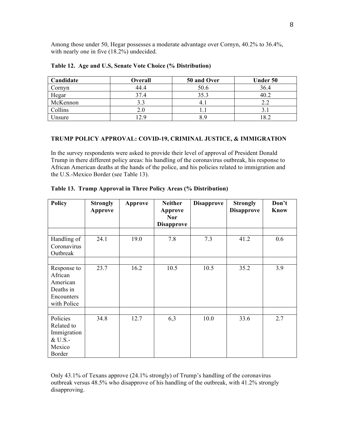Among those under 50, Hegar possesses a moderate advantage over Cornyn, 40.2% to 36.4%, with nearly one in five  $(18.2\%)$  undecided.

| Candidate | Overall | 50 and Over | Under 50 |
|-----------|---------|-------------|----------|
| Cornyn    | 44.4    | 50.6        | 36.4     |
| Hegar     | 37.4    | 35.3        | 40.2     |
| McKennon  | 3.3     | $4_{.1}$    |          |
| Collins   | 2.0     |             |          |
| Unsure    | 12.9    | 8.9         | 182      |

#### **Table 12. Age and U.S, Senate Vote Choice (% Distribution)**

#### **TRUMP POLICY APPROVAL: COVID-19, CRIMINAL JUSTICE, & IMMIGRATION**

In the survey respondents were asked to provide their level of approval of President Donald Trump in there different policy areas: his handling of the coronavirus outbreak, his response to African American deaths at the hands of the police, and his policies related to immigration and the U.S.-Mexico Border (see Table 13).

| <b>Policy</b>                                                                | <b>Strongly</b><br>Approve | Approve | <b>Neither</b><br>Approve<br><b>Nor</b><br><b>Disapprove</b> | <b>Disapprove</b> | <b>Strongly</b><br><b>Disapprove</b> | Don't<br>Know |
|------------------------------------------------------------------------------|----------------------------|---------|--------------------------------------------------------------|-------------------|--------------------------------------|---------------|
|                                                                              | 24.1                       |         | 7.8                                                          | 7.3               |                                      | 0.6           |
| Handling of<br>Coronavirus<br>Outbreak                                       |                            | 19.0    |                                                              |                   | 41.2                                 |               |
|                                                                              |                            |         |                                                              |                   |                                      |               |
| Response to<br>African<br>American<br>Deaths in<br>Encounters<br>with Police | 23.7                       | 16.2    | 10.5                                                         | 10.5              | 35.2                                 | 3.9           |
|                                                                              |                            |         |                                                              |                   |                                      |               |
| Policies<br>Related to<br>Immigration<br>& U.S.-<br>Mexico<br>Border         | 34.8                       | 12.7    | 6,3                                                          | 10.0              | 33.6                                 | 2.7           |

**Table 13. Trump Approval in Three Policy Areas (% Distribution)**

Only 43.1% of Texans approve (24.1% strongly) of Trump's handling of the coronavirus outbreak versus 48.5% who disapprove of his handling of the outbreak, with 41.2% strongly disapproving.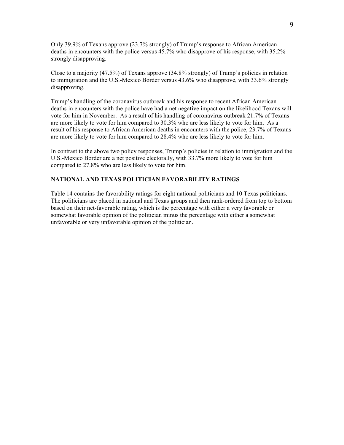Only 39.9% of Texans approve (23.7% strongly) of Trump's response to African American deaths in encounters with the police versus 45.7% who disapprove of his response, with 35.2% strongly disapproving.

Close to a majority (47.5%) of Texans approve (34.8% strongly) of Trump's policies in relation to immigration and the U.S.-Mexico Border versus 43.6% who disapprove, with 33.6% strongly disapproving.

Trump's handling of the coronavirus outbreak and his response to recent African American deaths in encounters with the police have had a net negative impact on the likelihood Texans will vote for him in November. As a result of his handling of coronavirus outbreak 21.7% of Texans are more likely to vote for him compared to 30.3% who are less likely to vote for him. As a result of his response to African American deaths in encounters with the police, 23.7% of Texans are more likely to vote for him compared to 28.4% who are less likely to vote for him.

In contrast to the above two policy responses, Trump's policies in relation to immigration and the U.S.-Mexico Border are a net positive electorally, with 33.7% more likely to vote for him compared to 27.8% who are less likely to vote for him.

#### **NATIONAL AND TEXAS POLITICIAN FAVORABILITY RATINGS**

Table 14 contains the favorability ratings for eight national politicians and 10 Texas politicians. The politicians are placed in national and Texas groups and then rank-ordered from top to bottom based on their net-favorable rating, which is the percentage with either a very favorable or somewhat favorable opinion of the politician minus the percentage with either a somewhat unfavorable or very unfavorable opinion of the politician.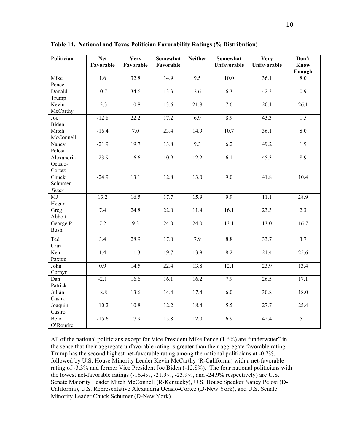| Politician         | <b>Net</b>       | Very              | Somewhat          | <b>Neither</b>    | Somewhat          | Very              | Don't            |
|--------------------|------------------|-------------------|-------------------|-------------------|-------------------|-------------------|------------------|
|                    | Favorable        | Favorable         | Favorable         |                   | Unfavorable       | Unfavorable       | Know<br>Enough   |
| Mike               | 1.6              | 32.8              | 14.9              | 9.5               | 10.0              | 36.1              | 8.0              |
| Pence              |                  |                   |                   |                   |                   |                   |                  |
| Donald             | $-0.7$           | 34.6              | 13.3              | 2.6               | 6.3               | 42.3              | 0.9              |
| Trump              |                  |                   |                   |                   |                   |                   |                  |
| Kevin              | $-3.3$           | 10.8              | 13.6              | 21.8              | 7.6               | 20.1              | 26.1             |
| McCarthy           |                  |                   |                   |                   |                   |                   |                  |
| Joe<br>Biden       | $-12.8$          | 22.2              | 17.2              | 6.9               | 8.9               | 43.3              | $\overline{1.5}$ |
| Mitch              | $-16.4$          | 7.0               | 23.4              | 14.9              | $\overline{10.7}$ | 36.1              | 8.0              |
| McConnell          |                  |                   |                   |                   |                   |                   |                  |
| Nancy              | $-21.9$          | 19.7              | 13.8              | $\overline{9.3}$  | 6.2               | 49.2              | $\overline{1.9}$ |
| Pelosi             |                  |                   |                   |                   |                   |                   |                  |
| Alexandria         | $-23.9$          | 16.6              | $\overline{10.9}$ | 12.2              | 6.1               | 45.3              | $\overline{8.9}$ |
| Ocasio-            |                  |                   |                   |                   |                   |                   |                  |
| Cortez<br>Chuck    | $-24.9$          | 13.1              | 12.8              | 13.0              | 9.0               | $\overline{41.8}$ | 10.4             |
| Schumer            |                  |                   |                   |                   |                   |                   |                  |
| Texas              |                  |                   |                   |                   |                   |                   |                  |
| MJ                 | 13.2             | 16.5              | 17.7              | 15.9              | $\overline{9.9}$  | 11.1              | 28.9             |
| Hegar              |                  |                   |                   |                   |                   |                   |                  |
| $\overline{G}$ reg | 7.4              | $\overline{24.8}$ | $\overline{22.0}$ | $\overline{11.4}$ | 16.1              | 23.3              | 2.3              |
| Abbott             |                  |                   |                   |                   |                   |                   |                  |
| George P.          | 7.2              | 9.3               | $\overline{24.0}$ | 24.0              | 13.1              | 13.0              | 16.7             |
| <b>Bush</b>        |                  |                   |                   |                   |                   |                   |                  |
| Ted                | 3.4              | $\overline{28.9}$ | 17.0              | 7.9               | 8.8               | 33.7              | 3.7              |
| Cruz               |                  |                   |                   |                   |                   |                   |                  |
| Ken                | $\overline{1.4}$ | 11.3              | $\overline{19.7}$ | 13.9              | 8.2               | 21.4              | 25.6             |
| Paxton             |                  |                   |                   |                   |                   |                   |                  |
| John               | 0.9              | 14.5              | 22.4              | 13.8              | 12.1              | 23.9              | 13.4             |
| Cornyn             | $-2.1$           |                   | 16.1              |                   | 7.9               | 26.5              | 17.1             |
| Dan<br>Patrick     |                  | 16.6              |                   | 16.2              |                   |                   |                  |
| Julián             | $-8.8$           | 13.6              | 14.4              | 17.4              | 6.0               | 30.8              | 18.0             |
| Castro             |                  |                   |                   |                   |                   |                   |                  |
| Joaquín            | $-10.2$          | 10.8              | 12.2              | 18.4              | $\overline{5.5}$  | 27.7              | 25.4             |
| Castro             |                  |                   |                   |                   |                   |                   |                  |
| Beto               | $-15.6$          | 17.9              | 15.8              | 12.0              | 6.9               | 42.4              | $\overline{5.1}$ |
| O'Rourke           |                  |                   |                   |                   |                   |                   |                  |

**Table 14. National and Texas Politician Favorability Ratings (% Distribution)**

All of the national politicians except for Vice President Mike Pence (1.6%) are "underwater" in the sense that their aggregate unfavorable rating is greater than their aggregate favorable rating. Trump has the second highest net-favorable rating among the national politicians at -0.7%, followed by U.S. House Minority Leader Kevin McCarthy (R-California) with a net-favorable rating of -3.3% and former Vice President Joe Biden (-12.8%). The four national politicians with the lowest net-favorable ratings (-16.4%, -21.9%, -23.9%, and -24.9% respectively) are U.S. Senate Majority Leader Mitch McConnell (R-Kentucky), U.S. House Speaker Nancy Pelosi (D-California), U.S. Representative Alexandria Ocasio-Cortez (D-New York), and U.S. Senate Minority Leader Chuck Schumer (D-New York).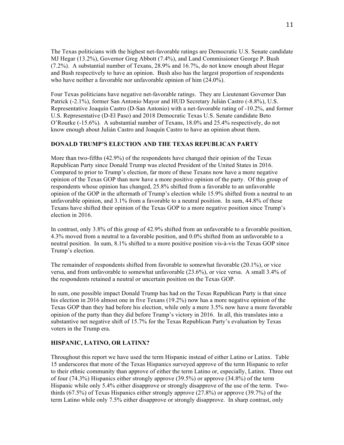The Texas politicians with the highest net-favorable ratings are Democratic U.S. Senate candidate MJ Hegar (13.2%), Governor Greg Abbott (7.4%), and Land Commissioner George P. Bush (7.2%). A substantial number of Texans, 28.9% and 16.7%, do not know enough about Hegar and Bush respectively to have an opinion. Bush also has the largest proportion of respondents who have neither a favorable nor unfavorable opinion of him (24.0%).

Four Texas politicians have negative net-favorable ratings. They are Lieutenant Governor Dan Patrick (-2.1%), former San Antonio Mayor and HUD Secretary Julián Castro (-8.8%), U.S. Representative Joaquín Castro (D-San Antonio) with a net-favorable rating of -10.2%, and former U.S. Representative (D-El Paso) and 2018 Democratic Texas U.S. Senate candidate Beto O'Rourke (-15.6%). A substantial number of Texans, 18.0% and 25.4% respectively, do not know enough about Julián Castro and Joaquín Castro to have an opinion about them.

#### **DONALD TRUMP'S ELECTION AND THE TEXAS REPUBLICAN PARTY**

More than two-fifths (42.9%) of the respondents have changed their opinion of the Texas Republican Party since Donald Trump was elected President of the United States in 2016. Compared to prior to Trump's election, far more of these Texans now have a more negative opinion of the Texas GOP than now have a more positive opinion of the party. Of this group of respondents whose opinion has changed, 25.8% shifted from a favorable to an unfavorable opinion of the GOP in the aftermath of Trump's election while 15.9% shifted from a neutral to an unfavorable opinion, and 3.1% from a favorable to a neutral position. In sum, 44.8% of these Texans have shifted their opinion of the Texas GOP to a more negative position since Trump's election in 2016.

In contrast, only 3.8% of this group of 42.9% shifted from an unfavorable to a favorable position, 4.3% moved from a neutral to a favorable position, and 0.0% shifted from an unfavorable to a neutral position. In sum, 8.1% shifted to a more positive position vis-à-vis the Texas GOP since Trump's election.

The remainder of respondents shifted from favorable to somewhat favorable (20.1%), or vice versa, and from unfavorable to somewhat unfavorable (23.6%), or vice versa. A small 3.4% of the respondents retained a neutral or uncertain position on the Texas GOP.

In sum, one possible impact Donald Trump has had on the Texas Republican Party is that since his election in 2016 almost one in five Texans (19.2%) now has a more negative opinion of the Texas GOP than they had before his election, while only a mere 3.5% now have a more favorable opinion of the party than they did before Trump's victory in 2016. In all, this translates into a substantive net negative shift of 15.7% for the Texas Republican Party's evaluation by Texas voters in the Trump era.

#### **HISPANIC, LATINO, OR LATINX?**

Throughout this report we have used the term Hispanic instead of either Latino or Latinx. Table 15 underscores that more of the Texas Hispanics surveyed approve of the term Hispanic to refer to their ethnic community than approve of either the term Latino or, especially, Latinx. Three out of four (74.3%) Hispanics either strongly approve (39.5%) or approve (34.8%) of the term Hispanic while only 5.4% either disapprove or strongly disapprove of the use of the term. Twothirds (67.5%) of Texas Hispanics either strongly approve (27.8%) or approve (39.7%) of the term Latino while only 7.5% either disapprove or strongly disapprove. In sharp contrast, only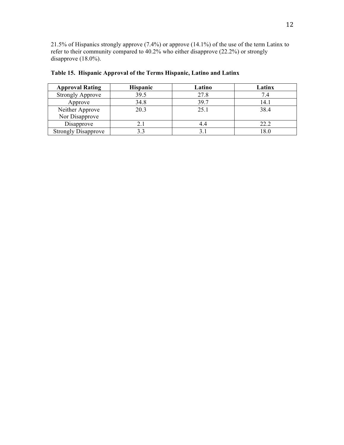21.5% of Hispanics strongly approve (7.4%) or approve (14.1%) of the use of the term Latinx to refer to their community compared to 40.2% who either disapprove (22.2%) or strongly disapprove  $(18.0\%)$ .

| <b>Approval Rating</b>     | <b>Hispanic</b> | Latino | Latinx |
|----------------------------|-----------------|--------|--------|
| <b>Strongly Approve</b>    | 39.5            | 27.8   |        |
| Approve                    | 34.8            | 39.7   | 14.1   |
| Neither Approve            | 20.3            | 25.1   | 38.4   |
| Nor Disapprove             |                 |        |        |
| Disapprove                 | 2.1             | 4.4    | 22.2   |
| <b>Strongly Disapprove</b> | 3.3             |        | 18.0   |

**Table 15. Hispanic Approval of the Terms Hispanic, Latino and Latinx**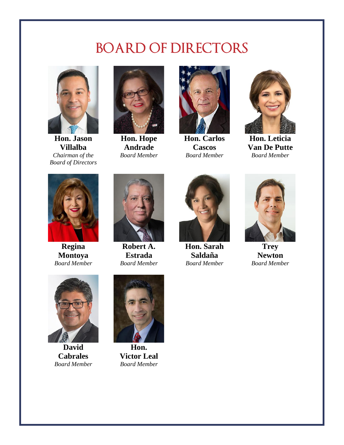## **BOARD OF DIRECTORS**



**Hon. Jason Villalba** *Chairman of the Board of Directors*



**Hon. Hope Andrade** *Board Member*



**Hon. Carlos Cascos** *Board Member*



**Hon. Leticia Van De Putte** *Board Member*



**Regina Montoya** *Board Member*



**Robert A. Estrada** *Board Member*



**Hon. Sarah Saldaña** *Board Member*



**Trey Newton** *Board Member*



**David Cabrales** *Board Member*



**Hon. Victor Leal** *Board Member*